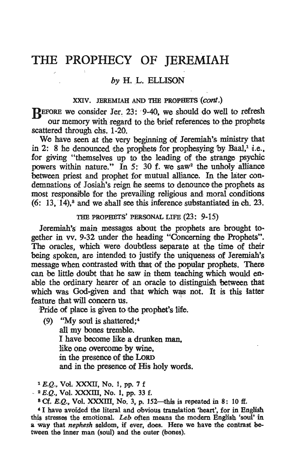## THE PROPHECY OF JEREMIAH

## *by* H. L. ELLISON

## XXIV. JEREMIAH AND THE PROPHETS (cont.)

REFORE we consider Jer. 23: 9-40, we should do well to refresh our memory with regard to the brief references to the prophets scattered through chs. 1-20.

We have seen at the very beginning of Jeremiah's ministry that in 2: 8 he denounced the prophets for prophesying by Baal, $^1$  *i.e.*, for giving "themselves up to the leading of the sttange psychic powers within nature." In 5: 30 f. we saw<sup>2</sup> the unholy alliance between priest and prophet for mutual alliance. In the later condemnations of Josiah's reign he seems to denounce the prophets as most responsible for the prevailing religious and moral conditions  $(6: 13.14)$ ,<sup>3</sup> and we shall see this inference substantiated in ch. 23.

## THE PROPHETS' PERSONAL LIFE (23: 9-15)

Jeremiah's main messages about the prophets are brought to· gether in vv. 9-32 under the heading "Concerning the Prophets". The oracles, which were doubtless separate at the time of their beihg spoken, are intended to justify the uniqueness of Jeremiah's message when contrasted with that of the popular prophets. There can be little doubt that he saw in them teaching which would enable the ordinary hearer Of an oracle to distinguish between that which was God-given and that which was not. It is this latter feature that will concern us.

Pride of place is given to the prophet's life.

(9) "My soul is shattered;4 all my bones tremble. r have become like a drunken man, like one overcome by wine, in the presence of the LORD and in the presence of His holy words.

 $1 E.Q.$ , Vol. XXXII, No. 1, pp. 7 f

 $-$  <sup>2</sup> E.Q., Vol. XXXIII, No. 1, pp. 33 f.

 $8$  Cf. E.Q., Vol. XXXIII, No. 3, p. 152-this is repeated in 8: 10 ff.

<sup>4</sup> I have avoided the literal and obvious translation 'heart', for in English this stresses the emotional. *Leb* often means the modern English 'soul'in a way that *nephesh* seldom, if ever, does. Here we have the contrast between the inner man (soul) and the outer (bones).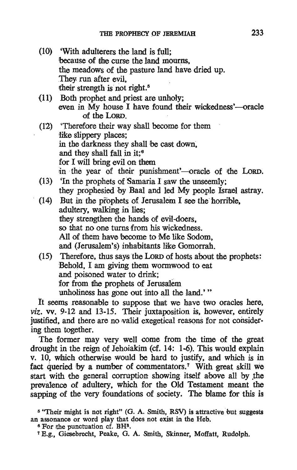- (10) 'With adulterers the land is full: because of tihe curse the land mourns, the meadows of the pasture land have dried up. They run after evil, their strength is not right. 5
- (11) Both prophet and priest are unholy; even in  $\dot{M}$ y house I have found their wickedness'—oracle of the LoRD.
- (12) . 'Therefore their way shall become for them like slippery places; in the darkness they shall be cast down, and they shall fall in it: $6$ for I will bring evil on them in the year of their punishment' -oracle of the LORD.
- (13) 'In the prophets of Samaria I saw the unseemly; they prophesied by Baal and led My people Israel astray.
- $(14)$  But in the prophets of Jerusalem I see the horrible. adultery, walking in lies: they strengthen the hands of evil-doers. so that no one turns from his wickedness. All of them have become to Me like Sodom, and (Jerusalem's) inhabitants like Gomorrah.
- (15) Therefore, thus says the LORD of hosts about the prophets: Behold, I am giving them wormwood to eat and poisoned water to drink; for from the prophets of Jerusalem unholiness has gone out into all the land.' "

It seems reasonable to suppose that we have two oracles here, *viz.* vv. 9-12 and 13-15. Their juxtaposition is, however, entirely justified, and there are no valid exegetical reasons for not considering them together.

The former may very well come from the time of the great drought in the reign of Jehoiakim (cf. 14: 1-6). This would explain v. 10, which otherwise would be hard to justify, and which is in fact queried by a number of commentators.<sup>7</sup> With great skill we start with the general corruption showing itself above all by the prevalence of adultery, which for the Old Testament meant the sapping of the very foundations of society. The blame for this is

<sup>&</sup>lt;sup>5</sup> "Their might is not right" (G. A. Smith, RSV) is attractive but suggests an assonance or word play that does not exist in the Heb.  $\degree$  For the punctuation cf. BH<sup>3</sup>.

<sup>7</sup> E.g., Giesebrecht, Peake, G. A. Smith, Skinner; Mofiatt, Rudolph.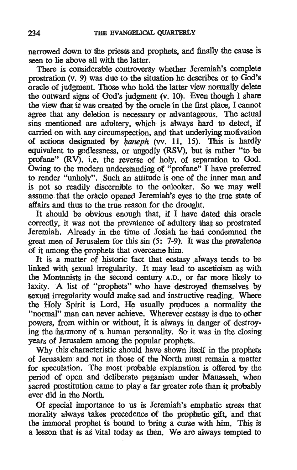narrowed down to the priests and prophets, and finally the cause is seen to lie above all with the latter.

There is considera'ble controversy whether Jeremiah's complete prostration (v. 9) was due to the situation he describes or to God's oracle of judgment. Those who hold the latter view normally delete the outward signs of God's judgment (v. 10). Even though I share the view that it was created by the oracle in the first place. I cannot agree that any deletion is necessary or advantageous. The actual sins mentioned are adultery, which is always hard to detect, if carried on with any circumspection, and that underlying motivation of actions designated by  $h$ aneph (vv. 11, 15). This is hardly equivalent to godlessness, or ungodly (RSV), but is rather "to be profane" (RV), i.e. the reverse of holy, of separation to God. Owing to the modern understanding of "profane" I have preferred to render "unholy". Such an attitude is one of the inner man and is not so readily discernible to the onlooker. So we may well assume that the oracle opened Jeremiah's eyes to the true state of affairs and thus to the true reason for the drought.

It should be obvious enough that, if  $I$  have dated this oracle correctly, it was not the prevalence of adultery tihat so prostrated Jeremiah. Already in the time of Josiah he had condemned the great men of Jerusalem for this sin (5: 7-9). It was the prevalence of it among the prophets that overcame him.

It is a matter of historic fact that ecstasy always tends to be linked with sexual irregularity. It may lead to asceticism as with the Montanists in the second century A.D., or far more likely to laxity. A list of "prophets" who have destroyed themselves by sexual irregularity would make sad and instructive reading. Where the Holy Spirit is Lord, He usually produces a normality the "normal" man can never achieve. Wherever ecstasy is due to other powers, from within or without, it is always in danger of destroying the harmony of a human personality. So it was in the closing years of Jerusalem among the popular prophets.

Why this characteristic should have shown itself in the prophets of Jerusalem and not in those of the North must remain a matter for speculation. The most probable explanation is offered by the period of open and deliberate paganism under Manasseh. when sacred prostitution came to play a far greater role than it probably ever did in the North.

Of special importance to us is Jeremiah's emphatic stress that morality always takes precedence of the prophetic gift, and that the immoral prophet is bound to bring a curse with him. This is a lesson that is as vital today as then. We are always tempted to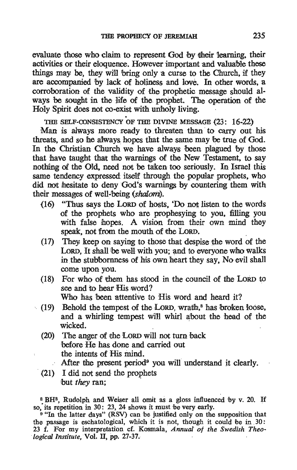evaluate those who claim to represent God by their learning, their activities or their eloquence. However important and valuable these things may be, they will bring only a curse to the Church, if they are accompanied by lack of holiness and love. In other words, a corroboration of the validity of the prophetic message should always be sought in the life of the prophet. The operation of the Holy Spirit does not co-exist with unholy living.

THE SELF-CONSISTENCY OF THE DIVINE MESSAGE (23: 16-22)

Man is always more ready to threaten than to carry out his threats, and so he always hopes that the same may be true of God. In the Christian Church we have always been plagued by those that have taught that the warnings of the New Testament, to say nothing of the Old, need not be taken too seriously. In Israel this same tendency expressed itself through the popular prophets, who did not hesitate to deny God's warnings by countering them with their messages of well~being (shalom).

- (16) "Thus says the LORD of hosts, 'Do not listen to the words of the prophets who are prophesying to you, filling you with false hopes. A vision from their own mind they speak, not from the mouth of the LORD.
- $(17)$  They keep on saying to those that despise the word of the Loro, It shall be well with you; and to everyone who walks in the stubbornness of his own heart they say, No evil shall come upon you.
- $(18)$  For who of them has stood in the council of the Lord to see and to hear His word? Who has been attentive to His word and heard it?
- $(19)$  Behold the tempest of the LORD, wrath,<sup>8</sup> has broken loose, and a whirling tempest will whirl about the head of the wicked. .
	- (20) The anger of the LORD will not turn back before He has done and carried out the intents of His mind. After the present period<sup>9</sup> you will understand it clearly.
	- (21) I did not send the prophets but *they* ran;

<sup>8</sup> BH<sup>3</sup>, Rudolph and Weiser all omit as a gloss influenced by v. 20. If so, its repetition in 30: 23, 24 shows it must be very early.<br><sup>9</sup> "In the latter days" (RSV) can be justified only on the supposition that

the passage is eschatological, which it is not, though it could be in  $30$ : 23 f. For my interpretation cf. Kosmala, *Annual of the Swedish Theo*logical Institute, Vol. II, pp. 27-37.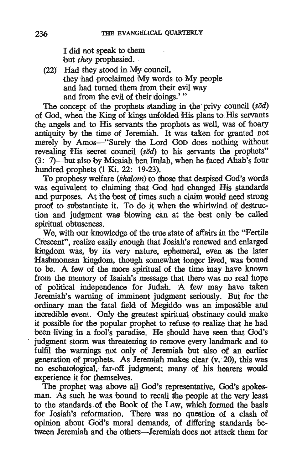I did not speak to them but *they* prophesied.

(22J ' Had they stood in My council, they had proclaimed My words to My people and had turned them from their evil way and from the evil of their doings.'"

The concept of the prophets standing in the privy council (sod) of God, when the King of kings unfolded His plans to His servants the angels and to His servants the prophets as well, was of hoary antiquity by the time of Jeremiah. It was taken for granted not merely by Amos-"Surely the Lord GoD does nothing without revealing His secret council *(sod)* to his servants the prophets"  $(3: 7)$ —but also by Micaiah ben Imlah, when he faced Ahab's four hundred prophets  $(1 \text{ Ki. } 22: 19-23)$ .

To prophesy welfare (shalom) to those that despised God's words was equivalent to claiming that God had changed His standards and purposes. At the best of times such a claim would need strong proof to substantiate it. To do it when the whirlwind of destruction and judgment was blowing can at the best only be called spiritual obtuseness.

We, with our knowledge of the true state of affairs in the "Fertile" Crescent", realize easily enough that Josiah's renewed and enlarged kingdom was, by its very nature, ephemeral, even as the later Hashmonean kingdom, though somewhat longer lived, was bound to be. A few of the more spiritual of the time may have known from the memory of Isaiah's message that there was no real hope of political independence for Judah. A few may have taken Jeremiah's warning of imminent judgment seriously. But for the ordinary man the fatal field of Megiddo was an impossible and incred:ible event. Only the greatest spiritual obstinacy could make it possible for the popular prophet to refuse to realize that he had been living in a fool's paradise. He should have seen that God's judgment storm was threatening to remove every landmark and to fulfil the warnings not only of Jeremiah but also of an earlier generation of prophets. As Jeremiah makes clear (v. 20), this was no eschatologica1, far-off judgment; many of his hearers would experience it for themselves.

The prophet was above ali God's representative, God's spokesman. As such he was bound to recall the people at the very least to the standards of the Book of the Law, which formed the basis for Josiah's reformation. There was no question of a clash of opinion about God's moral demands, of differing standards between Jeremiah and 1fhe others-Jeremiah does not attack them for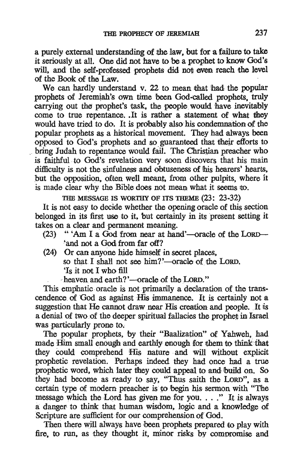a purely external understanding of the law, but for a failure to take it seriously at all. One did not have to be a prophet to know God's will, and the self-professed prophets did not even reach the level of the Book of the Law. .

We can hardly understand v. 22 to mean that had the popular prophets of Jeremiah's own time been God-called prophets. truly carrying out the prophet's task, the people would have inevitably come to true repentance. .It is rather a statement of what they would have tried to do. It is probably also his condemnation of the popular prophets as a historical movement. They had always been opposed to God's prophets and so guaranteed that their efforts to bring Judah to repentance would fail. The Christian preacher who is faithful to God's revelation very soon discovers that his main difficulty is not the sinfulness and obtuseness of his hearers' hearts, but the opposition, often well meant, from other pulpits, where it is made clear why the Bible does not mean what it seems to.

THE MESSAGE IS WORTHY OF ITS THEME (23: 23-32)

It is not easy to decide whether the opening oracle of this section belonged in its first use to it, but certainly in its present setting it takes on a Clear and permanent meaning.

- $(23)$  "'Am I a God from near at hand'-oracle of the LORD-'and not a God from far off?
- (24) Or can anyone hide himself in secret places. so that I shall not see him?'-oracle of the LORD. 'Is it not I who fill

heaven and earth?'—oracle of the LORD."

This emphatic oracle is not primanily a declaration of the transcendence of God as against His immanence. It is certainly not a suggestion that He cannot draw near His creation and people. It is a denial of two.of the deeper spiritual fallacies the prophet in Israel Was particularly prone to.

The popular prophets, by their "Baalization" of Yahweh, had made Him small enough and earthly enough for them to think that they Could comprehend His nature and will without explicit prophetic revelation. Perhaps indeed. they had once had a true prophetic word, which later they could appeal to and build on. So they had become as ready to say, "Thus saith the LORD", as a certain type of modern preacher is to begin his sermon with "The message which the Lord has given me for you. . . ." It is always a danger to think that human wisdom, logic and a knowledge of Scripture are sufficient for our comprehension of God.

Then there will always have been prophets prepared to play with fire, to run, as they thought it, minor risks by compromise and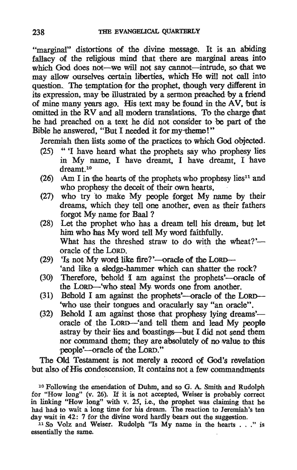"marginal" distortions of the divine message. It is an abiding fallacy of the religious mind that there are marginal areas into which God does not---we will not say cannot----intrude, so that we may allow ourselves certain liberties, which He will not call into question. The temptation for the prophet, though very different in its expression, may be illustrated by a sennon preached by a friend of mine many years ago. His text may be found in the AV, but is omitted in the RV and all modern translations. To the charge that he had preached on a text he did not consider to be part of the Bible he answered, "But I needed it for my-tbeme!"

Jeremiah then lists some of the practices to which God objected.

- (25) ." 'I have heard what the prophets say who prophesy lies in My name, I have dreamt, I have dreamt, I have dreamt<sup>10</sup>
- (26) Am I in the hearts of the prophets who prophesy lies<sup>11</sup> and who prophesy the deceit of their own hearts.
- $(27)$  who try to make My people forget My name by their Ireams, which they tell one another, even as their fathers forgot My name for Baal ?
- (28) Let the prophet who has a dream tell his dream, but let him who has My word tell My word faithfully. What has the threshed straw to do with the wheat?'oracle of the LoRD. .
- (29) 'Is not My word like fire?'—oracle of the LORD--'and like a sledge-hammer which can shatter the rock?
- (30) Therefore, behold I am against the prophets'-oracle of the LORD-'who steal My words one from another.
- (31) Behold I am against the prophets'-oracle of the LORD--'who use their tongues and oracularly say "an oracle".
- (32) Behold I am against those that prophesy lying dreams'oracle of the LoRD-'and tell them and lead My people astray by their lies and boastings—but I did not send them nor command them; they are absolutely of no value to this people'--oracle of the LORD."

The Old Testament is not merely a record of God's revelation but also of His condescension. It contains not a few commandments

10 Following the emendation of Duhm, and so G. A Smith and Rudolph for "How long" (v. 26). If it is not accepted, Weiser is probably correct in linking "How long" with v.  $25$ , i.e., the prophet was claiming that he had had to wait a long time for his dream. The reaction to Jeremiah's ten day wait in 42: 7 for the divine word hardly bears out the suggestion.

 $11$  So Volz and Weiser. Rudolph "Is My name in the hearts..." is essentially the same.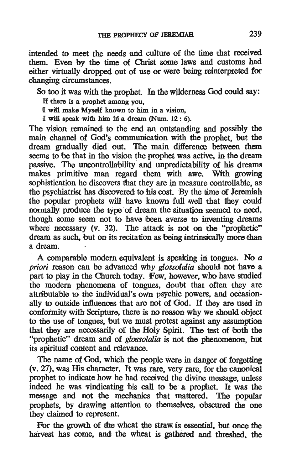intended to meet the needs and culture of the time that received them. Even by the time of Christ some laws and customs had either virtually dropped out of use or were being reinterpreted for ohanging circumstanoes.

So too it was with the prophet. In the wilderness God could say:

If there is a prophet among you,

I will make Myself known to him in a vision.

I will speak with him in a dream (Num.  $12: 6$ ).

The vision remained to the end an outstanding and possibly the main channel of God's communication with the prophet. but the dream gradually died out. The majn difference between them seems to be that in the vision the prophet was active, in the dream passive. The uncontrollability and unpredictability of his dreams makes primitive man regard them with awe. Wiith growing sophistication he discovers that they are in measure controllable, as the psychiatrist has discovered to his cost. By the time of Jeremiah the popular prophets will have known full well that they could normally produce the type of dream the situation seemed to need, though some seem not to have been averse to inventing dreams where necessary  $(v. 32)$ . The attack is not on the "prophetic" dream as such, but on its recitation as being intrinsically more than . a dream.

, A comparable modern equivalent is speaking in tongues. No a *priori* reason can be advanced why *glossolalla* should not have a part to play in the Church today. Few. however. who have studied the modern phenomena of tongues. doubt that often they are attributable to the individual's own psychic powers, and occasionally to outside influences that are not of God. If they are used in conformity witlh Scripture. there is no reason why we should object to the use of tongues, but we must protest against any assumption that they are necessarily of the Holy Spirit. The test of both the "prophetic" dream and of *glossolalia* is not the phenomenon, but its spiritual content and relevance.

The name of God, which the people were in danger of forgetting (v. 27), was His character. It was rare. very rare, for the canonical prophet to indicate how he had received the divine message, unless indeed he was vindicating his call to be a prophet. It was the message and not the mechanics that mattered. The popular prophets, by drawing attention to themselves, obscured the one they claimed to represent.

For the growth of the wheat the straw is essential, but once the harvest has come, and the wheat is gathered and threshed, the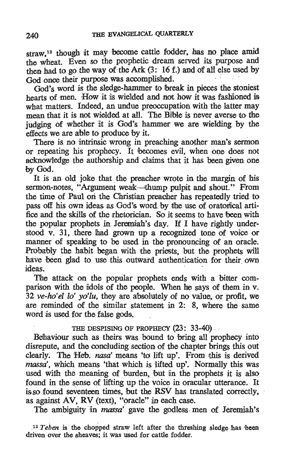straw,<sup>12</sup> though it may become cattle fodder, has no place amid the wheat. Even so the prophetic dream served its purpose and then had to go the way of the Ark  $(3: 16 f.)$  and of all else used by God once their purpose was accomplished.

God's word is the sledge-hammer to break in pieces the stoniest hearts of men. How it is wielded and not how it was fashioned is what matters. Indeed, an undue preoccupation with the latter may mean that it is not wielded at all. The Bible is never averse to the judging of whether it is God's hammer we are wielding by the effects we are able to produce by it.

There is no intrinsic wrong in preaching another man's sermon or repeating his prophecy. It becomes evil, when one does not acknowledge the authorship and claims that it has been given one by God.

It is an old joke that the preacher wrote in the margin of his sermon-notes, "Argument weak—thump pulpit and shout." From the time of Paul on the Christian preacher has repeatedly tried to pass off his own ideas as God's word by the use of oratorical artifice and the skills of the rhetorician. So it seems to have been with the popular prophets in Jeremiah's day. If I have rightly understood v. 31, there had grown up a recognized tone of voice or manner of speaking to be used in the pronouncing of an oracle. Probably the habit began with the priests, but the prophets will housily the must explain with the press, but the propriets will are been glad to do this outward authentication

The attack on the popular prophets ends with a bitter comparison with the idols of the people. When he says of them in v. *32 ve-ho'el 10' ydlu,* they are absolutely of novalue, or profit, we are reminded of the similar statement in 2: 8, where the same word is used for the false gods.

THE DESPISING OF PROPHECY (23: 33-40).

Behaviour such as theirs was bound to bring all prophecy into disrepute, and the concluding section of the chapter brings this out clearly. The Heb: nasa' means 'to lift up'. From this is derived massa', which means 'that which is lifted up'. Normally this was used with the meaning of burden, but in the prophets it is also found in the sense of lifting up the voice in oracular utterance: It is so found seventeen times, but the RSV has translated correctly, as against AV, RV (text), "oracle" in each case.

The ambiguity in *massa'* gave the godless men of Jeremiah's

<sup>12</sup> Teben is the chopped straw left after the threshing sledge has been driven over the sheaves; it was used for cattle fodder.